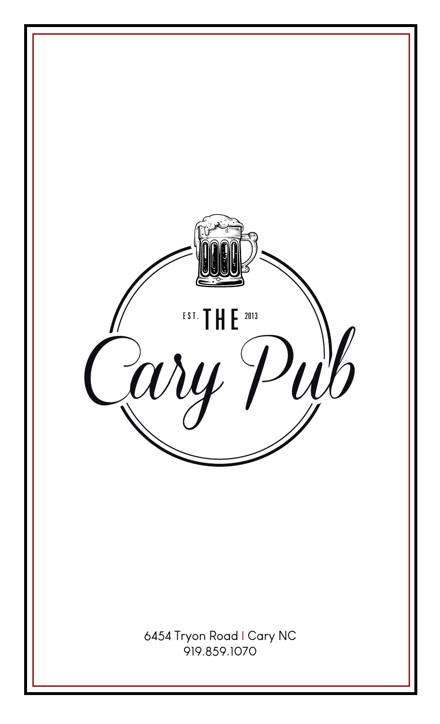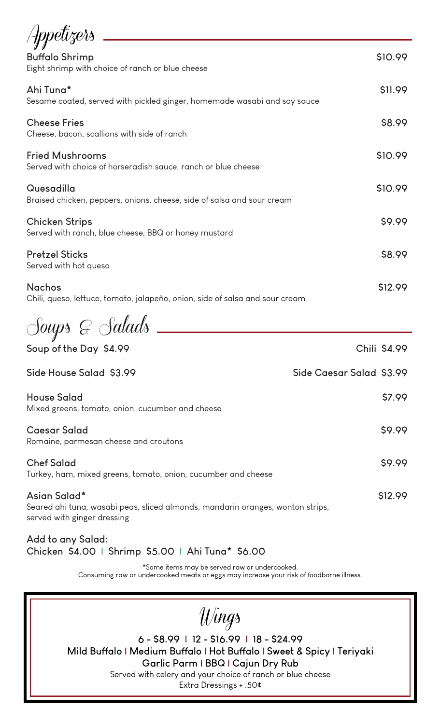| Appetizers                                                                              |         |
|-----------------------------------------------------------------------------------------|---------|
| <b>Buffalo Shrimp</b><br>Eight shrimp with choice of ranch or blue cheese               | \$10.99 |
| Ahi Tuna*<br>Sesame coated, served with pickled ginger, homemade wasabi and soy sauce   | \$11.99 |
| <b>Cheese Fries</b><br>Cheese, bacon, scallions with side of ranch                      | \$8.99  |
| <b>Fried Mushrooms</b><br>Served with choice of horseradish sauce, ranch or blue cheese | \$10.99 |
| Quesadilla<br>Braised chicken, peppers, onions, cheese, side of salsa and sour cream    | \$10.99 |
| <b>Chicken Strips</b><br>Served with ranch, blue cheese, BBQ or honey mustard           | \$9.99  |
| <b>Pretzel Sticks</b><br>Served with hot queso                                          | \$8.99  |
| <b>Nachos</b>                                                                           | \$12.99 |

Chili, queso, lettuce, tomato, jalapeño, onion, side of salsa and sour cream

Soups & Salads

| Soup of the Day \$4.99                                                                                                        | Chili \$4.99             |
|-------------------------------------------------------------------------------------------------------------------------------|--------------------------|
| Side House Salad \$3.99                                                                                                       | Side Caesar Salad \$3.99 |
| <b>House Salad</b><br>Mixed greens, tomato, onion, cucumber and cheese                                                        | \$7.99                   |
| <b>Caesar Salad</b><br>Romaine, parmesan cheese and croutons                                                                  | \$9.99                   |
| <b>Chef Salad</b><br>Turkey, ham, mixed greens, tomato, onion, cucumber and cheese                                            | \$9.99                   |
| Asian Salad*<br>Seared ahi tuna, wasabi peas, sliced almonds, mandarin oranges, wonton strips,<br>served with ginger dressing | \$12.99                  |

**Add to any Salad: Chicken \$4.00 | Shrimp \$5.00 | Ahi Tuna\* \$6.00**

\*Some items may be served raw or undercooked.

Consuming raw or undercooked meats or eggs may increase your risk of foodborne illness.

Wings

**6 - \$8.99 | 12 - \$16.99 | 18 - \$24.99 Mild Buffalo | Medium Buffalo | Hot Buffalo | Sweet & Spicy | Teriyaki Garlic Parm | BBQ | Cajun Dry Rub** Served with celery and your choice of ranch or blue cheese Extra Dressings + .50¢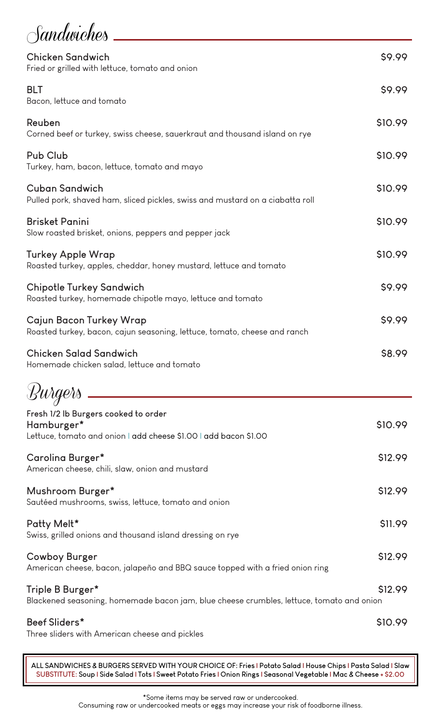**Sandwiches** 

| <b>Chicken Sandwich</b><br>Fried or grilled with lettuce, tomato and onion                                             | \$9.99  |
|------------------------------------------------------------------------------------------------------------------------|---------|
| <b>BLT</b><br>Bacon, lettuce and tomato                                                                                | \$9.99  |
| Reuben<br>Corned beef or turkey, swiss cheese, sauerkraut and thousand island on rye                                   | \$10.99 |
| Pub Club<br>Turkey, ham, bacon, lettuce, tomato and mayo                                                               | \$10.99 |
| <b>Cuban Sandwich</b><br>Pulled pork, shaved ham, sliced pickles, swiss and mustard on a ciabatta roll                 | \$10.99 |
| <b>Brisket Panini</b><br>Slow roasted brisket, onions, peppers and pepper jack                                         | \$10.99 |
| <b>Turkey Apple Wrap</b><br>Roasted turkey, apples, cheddar, honey mustard, lettuce and tomato                         | \$10.99 |
| <b>Chipotle Turkey Sandwich</b><br>Roasted turkey, homemade chipotle mayo, lettuce and tomato                          | \$9.99  |
| Cajun Bacon Turkey Wrap<br>Roasted turkey, bacon, cajun seasoning, lettuce, tomato, cheese and ranch                   | \$9.99  |
| <b>Chicken Salad Sandwich</b><br>Homemade chicken salad, lettuce and tomato                                            | \$8.99  |
| Burgers                                                                                                                |         |
| Fresh 1/2 lb Burgers cooked to order<br>Hamburger*<br>Lettuce, tomato and onion I add cheese \$1.00 I add bacon \$1.00 | \$10.99 |
| Carolina Burger*<br>American cheese, chili, slaw, onion and mustard                                                    | \$12.99 |
| Mushroom Burger*<br>Sautéed mushrooms, swiss, lettuce, tomato and onion                                                | \$12.99 |
| Patty Melt*<br>Swiss, grilled onions and thousand island dressing on rye                                               | \$11.99 |
| <b>Cowboy Burger</b><br>American cheese, bacon, jalapeño and BBQ sauce topped with a fried onion ring                  | \$12.99 |
| Triple B Burger*<br>Blackened seasoning, homemade bacon jam, blue cheese crumbles, lettuce, tomato and onion           | \$12.99 |
| Beef Sliders*<br>Three sliders with American cheese and pickles                                                        | S10.99  |

**ALL SANDWICHES & BURGERS SERVED WITH YOUR CHOICE OF: Fries | Potato Salad | House Chips | Pasta Salad | Slaw SUBSTITUTE: Soup | Side Salad | Tots | Sweet Potato Fries | Onion Rings | Seasonal Vegetable | Mac & Cheese + \$2.00**

\*Some items may be served raw or undercooked.

Consuming raw or undercooked meats or eggs may increase your risk of foodborne illness.